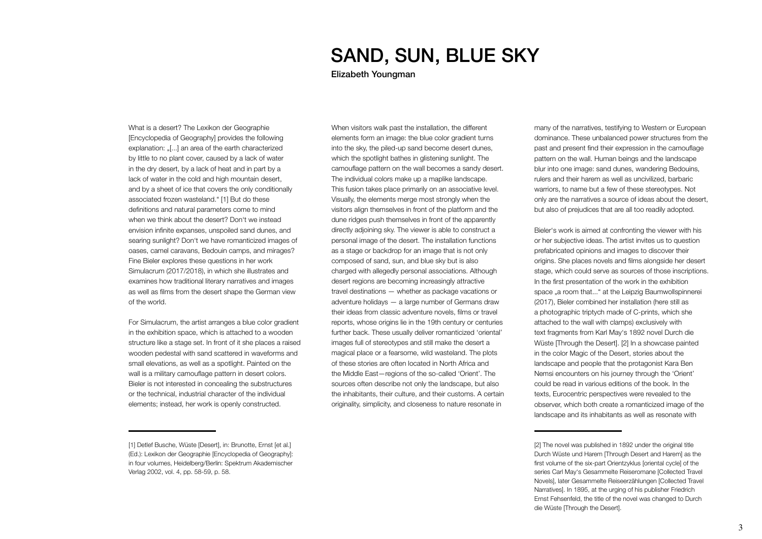## SAND, SUN, BLUE SKY

Elizabeth Youngman

When visitors walk past the installation, the different elements form an image: the blue color gradient turns into the sky, the piled-up sand become desert dunes, which the spotlight bathes in glistening sunlight. The camouflage pattern on the wall becomes a sandy desert. The individual colors make up a maplike landscape. This fusion takes place primarily on an associative level. Visually, the elements merge most strongly when the visitors align themselves in front of the platform and the dune ridges push themselves in front of the apparently directly adjoining sky. The viewer is able to construct a personal image of the desert. The installation functions as a stage or backdrop for an image that is not only composed of sand, sun, and blue sky but is also charged with allegedly personal associations. Although desert regions are becoming increasingly attractive travel destinations — whether as package vacations or adventure holidays — a large number of Germans draw their ideas from classic adventure novels, films or travel reports, whose origins lie in the 19th century or centuries further back. These usually deliver romanticized 'oriental' images full of stereotypes and still make the desert a magical place or a fearsome, wild wasteland. The plots of these stories are often located in North Africa and the Middle East—regions of the so-called 'Orient'. The sources often describe not only the landscape, but also the inhabitants, their culture, and their customs. A certain originality, simplicity, and closeness to nature resonate in

What is a desert? The Lexikon der Geographie [Encyclopedia of Geography] provides the following explanation: "[...] an area of the earth characterized by little to no plant cover, caused by a lack of water in the dry desert, by a lack of heat and in part by a lack of water in the cold and high mountain desert, and by a sheet of ice that covers the only conditionally associated frozen wasteland." [1] But do these definitions and natural parameters come to mind when we think about the desert? Don't we instead envision infinite expanses, unspoiled sand dunes, and searing sunlight? Don't we have romanticized images of oases, camel caravans, Bedouin camps, and mirages? Fine Bieler explores these questions in her work Simulacrum (2017/2018), in which she illustrates and examines how traditional literary narratives and images as well as films from the desert shape the German view of the world.

For Simulacrum, the artist arranges a blue color gradient in the exhibition space, which is attached to a wooden structure like a stage set. In front of it she places a raised wooden pedestal with sand scattered in waveforms and small elevations, as well as a spotlight. Painted on the wall is a military camouflage pattern in desert colors. Bieler is not interested in concealing the substructures or the technical, industrial character of the individual elements; instead, her work is openly constructed.

many of the narratives, testifying to Western or European dominance. These unbalanced power structures from the past and present find their expression in the camouflage pattern on the wall. Human beings and the landscape blur into one image: sand dunes, wandering Bedouins, rulers and their harem as well as uncivilized, barbaric warriors, to name but a few of these stereotypes. Not only are the narratives a source of ideas about the desert, but also of prejudices that are all too readily adopted.

Bieler's work is aimed at confronting the viewer with his or her subjective ideas. The artist invites us to question prefabricated opinions and images to discover their origins. She places novels and films alongside her desert stage, which could serve as sources of those inscriptions. In the first presentation of the work in the exhibition space "a room that..." at the Leipzig Baumwollspinnerei (2017), Bieler combined her installation (here still as a photographic triptych made of C-prints, which she attached to the wall with clamps) exclusively with text fragments from Karl May's 1892 novel Durch die Wüste [Through the Desert]. [2] In a showcase painted in the color Magic of the Desert, stories about the landscape and people that the protagonist Kara Ben Nemsi encounters on his journey through the 'Orient' could be read in various editions of the book. In the texts, Eurocentric perspectives were revealed to the observer, which both create a romanticized image of the landscape and its inhabitants as well as resonate with

<sup>[1]</sup> Detlef Busche, Wüste [Desert], in: Brunotte, Ernst [et al.] (Ed.): Lexikon der Geographie [Encyclopedia of Geography]: in four volumes, Heidelberg/Berlin: Spektrum Akademischer Verlag 2002, vol. 4, pp. 58-59, p. 58.

<sup>[2]</sup> The novel was published in 1892 under the original title Durch Wüste und Harem [Through Desert and Harem] as the first volume of the six-part Orientzyklus [oriental cycle] of the series Carl May's Gesammelte Reiseromane [Collected Travel Novels], later Gesammelte Reiseerzählungen [Collected Travel Narratives]. In 1895, at the urging of his publisher Friedrich Ernst Fehsenfeld, the title of the novel was changed to Durch die Wüste [Through the Desert].